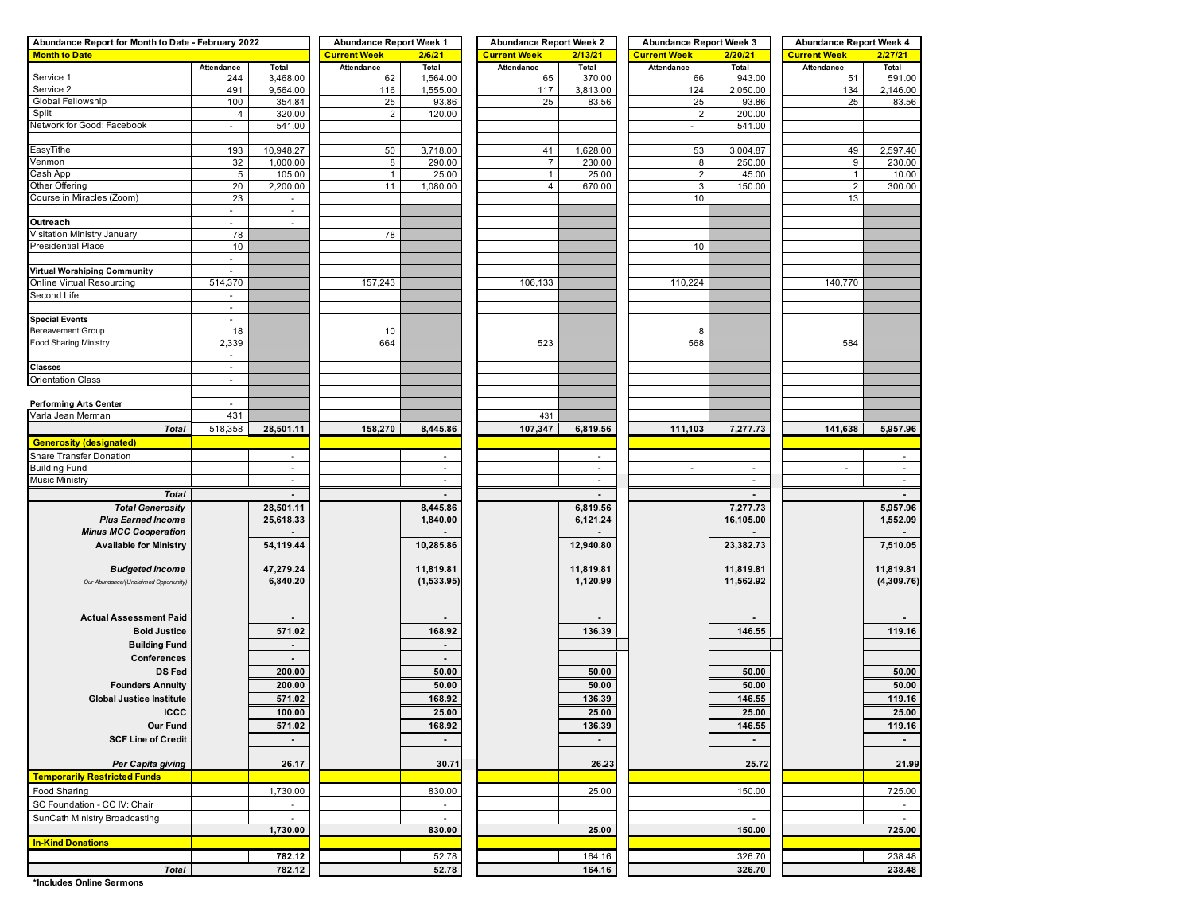| Abundance Report for Month to Date - February 2022 | <b>Abundance Report Week 1</b>  |                          | <b>Abundance Report Week 2</b> |                          | <b>Abundance Report Week 3</b> |           | <b>Abundance Report Week 4</b> |                          |                          |                 |
|----------------------------------------------------|---------------------------------|--------------------------|--------------------------------|--------------------------|--------------------------------|-----------|--------------------------------|--------------------------|--------------------------|-----------------|
| <b>Month to Date</b>                               |                                 |                          | <b>Current Week</b>            | 2/6/21                   | <b>Current Week</b>            | 2/13/21   | <b>Current Week</b>            | 2/20/21                  | <b>Current Week</b>      | 2/27/21         |
|                                                    | Attendance                      | Total                    | Attendance                     | Total                    | Attendance                     | Total     | Attendance                     | Total                    | Attendance               | Total           |
| Service 1                                          | 244                             | 3,468.00                 | 62                             | 1,564.00                 | 65                             | 370.00    | 66                             | 943.00                   | 51                       | 591.00          |
| Service 2                                          | 491                             | 9,564.00                 | 116                            | 1,555.00                 | 117                            | 3,813.00  | 124                            | 2,050.00                 | 134                      | 2,146.00        |
| Global Fellowship                                  | 100                             | 354.84                   | 25                             | 93.86                    | 25                             | 83.56     | 25                             | 93.86                    | 25                       | 83.56           |
| Split                                              | $\overline{4}$                  | 320.00                   | $\overline{c}$                 | 120.00                   |                                |           | $\overline{\mathbf{c}}$        | 200.00                   |                          |                 |
| Network for Good: Facebook                         | ÷                               | 541.00                   |                                |                          |                                |           | $\overline{\phantom{a}}$       | 541.00                   |                          |                 |
| EasyTithe                                          | 193                             | 10,948.27                | 50                             | 3,718.00                 | 41                             | 1,628.00  | 53                             | 3,004.87                 | 49                       | 2,597.40        |
| Venmon                                             | 32                              | 1,000.00                 | 8                              | 290.00                   | $\overline{7}$                 | 230.00    | 8                              | 250.00                   | 9                        | 230.00          |
| Cash App                                           | 5                               | 105.00                   | $\mathbf{1}$                   | 25.00                    | $\mathbf{1}$                   | 25.00     | $\overline{c}$                 | 45.00                    | $\mathbf{1}$             | 10.00           |
| Other Offering                                     | 20                              | 2,200.00                 | 11                             | 1,080.00                 | 4                              | 670.00    | 3                              | 150.00                   | $\sqrt{2}$               | 300.00          |
| Course in Miracles (Zoom)                          | 23                              |                          |                                |                          |                                |           | 10                             |                          | 13                       |                 |
|                                                    | $\sim$                          | $\sim$                   |                                |                          |                                |           |                                |                          |                          |                 |
| Outreach                                           |                                 |                          |                                |                          |                                |           |                                |                          |                          |                 |
| Visitation Ministry January                        | 78                              |                          | 78                             |                          |                                |           |                                |                          |                          |                 |
| <b>Presidential Place</b>                          | 10                              |                          |                                |                          |                                |           | 10                             |                          |                          |                 |
|                                                    | $\frac{1}{2}$                   |                          |                                |                          |                                |           |                                |                          |                          |                 |
| Virtual Worshiping Community                       | $\sim$                          |                          |                                |                          |                                |           |                                |                          |                          |                 |
| Online Virtual Resourcing                          | 514,370                         |                          | 157,243                        |                          | 106,133                        |           | 110,224                        |                          | 140,770                  |                 |
| Second Life                                        |                                 |                          |                                |                          |                                |           |                                |                          |                          |                 |
|                                                    | $\sim$                          |                          |                                |                          |                                |           |                                |                          |                          |                 |
| <b>Special Events</b>                              | $\blacksquare$                  |                          |                                |                          |                                |           |                                |                          |                          |                 |
| <b>Bereavement Group</b>                           | 18                              |                          | 10                             |                          |                                |           | 8                              |                          |                          |                 |
| <b>Food Sharing Ministry</b>                       | 2,339                           |                          | 664                            |                          | 523                            |           | 568                            |                          | 584                      |                 |
|                                                    | $\blacksquare$                  |                          |                                |                          |                                |           |                                |                          |                          |                 |
| <b>Classes</b>                                     | $\overline{\phantom{a}}$        |                          |                                |                          |                                |           |                                |                          |                          |                 |
| <b>Orientation Class</b>                           | $\sim$                          |                          |                                |                          |                                |           |                                |                          |                          |                 |
|                                                    |                                 |                          |                                |                          |                                |           |                                |                          |                          |                 |
| <b>Performing Arts Center</b><br>Varla Jean Merman | $\overline{\phantom{a}}$<br>431 |                          |                                |                          | 431                            |           |                                |                          |                          |                 |
|                                                    |                                 | 28,501.11                |                                |                          |                                |           |                                |                          |                          |                 |
| <b>Total</b>                                       | 518,358                         |                          | 158,270                        | 8,445.86                 | 107,347                        | 6,819.56  | 111,103                        | 7,277.73                 | 141,638                  | 5,957.96        |
| <b>Generosity (designated)</b>                     |                                 |                          |                                |                          |                                |           |                                |                          |                          |                 |
| Share Transfer Donation                            |                                 | $\sim$                   |                                | $\sim$                   |                                | $\sim$    |                                |                          |                          | $\sim$          |
| <b>Building Fund</b>                               |                                 | $\sim$<br>$\sim$         |                                | $\sim$                   |                                | $\sim$    | $\overline{\phantom{a}}$       | $\sim$                   | $\overline{\phantom{a}}$ | $\sim$          |
| Music Ministry                                     |                                 |                          |                                | $\overline{\phantom{a}}$ |                                | ۰         |                                | $\blacksquare$           |                          |                 |
| <b>Total</b>                                       |                                 |                          |                                |                          |                                |           |                                |                          |                          |                 |
| <b>Total Generosity</b>                            |                                 | 28,501.11                |                                | 8,445.86                 |                                | 6,819.56  |                                | 7,277.73                 |                          | 5,957.96        |
| <b>Plus Earned Income</b>                          |                                 | 25,618.33                |                                | 1,840.00                 |                                | 6,121.24  |                                | 16,105.00                |                          | 1,552.09        |
| <b>Minus MCC Cooperation</b>                       |                                 |                          |                                |                          |                                |           |                                |                          |                          |                 |
| <b>Available for Ministry</b>                      |                                 | 54,119.44                |                                | 10,285.86                |                                | 12,940.80 |                                | 23,382.73                |                          | 7,510.05        |
|                                                    |                                 |                          |                                |                          |                                |           |                                |                          |                          |                 |
| <b>Budgeted Income</b>                             |                                 | 47,279.24                |                                | 11,819.81                |                                | 11,819.81 |                                | 11,819.81                |                          | 11,819.81       |
| Our Abundance/(Unclaimed Opportunity)              |                                 | 6,840.20                 |                                | (1,533.95)               |                                | 1,120.99  |                                | 11,562.92                |                          | (4, 309.76)     |
|                                                    |                                 |                          |                                |                          |                                |           |                                |                          |                          |                 |
| <b>Actual Assessment Paid</b>                      |                                 |                          |                                |                          |                                |           |                                |                          |                          |                 |
| <b>Bold Justice</b>                                |                                 | 571.02                   |                                | 168.92                   |                                | 136.39    |                                | 146.55                   |                          | 119.16          |
|                                                    |                                 | $\overline{\phantom{a}}$ |                                | $\sim$                   |                                |           |                                |                          |                          |                 |
| <b>Building Fund</b>                               |                                 |                          |                                |                          |                                |           |                                |                          |                          |                 |
| Conferences                                        |                                 | $\blacksquare$           |                                | $\blacksquare$           |                                |           |                                |                          |                          |                 |
| <b>DS Fed</b>                                      |                                 | 200.00                   |                                | 50.00                    |                                | 50.00     |                                | 50.00                    |                          | 50.00           |
| <b>Founders Annuity</b>                            |                                 | 200.00                   |                                | 50.00                    |                                | 50.00     |                                | 50.00                    |                          | 50.00           |
| <b>Global Justice Institute</b>                    |                                 | 571.02                   |                                | 168.92                   |                                | 136.39    |                                | 146.55                   |                          | 119.16          |
| <b>ICCC</b>                                        |                                 | 100.00                   |                                | 25.00                    |                                | 25.00     |                                | 25.00                    |                          | 25.00           |
| Our Fund                                           |                                 | 571.02                   |                                | 168.92                   |                                | 136.39    |                                | 146.55                   |                          | 119.16          |
| <b>SCF Line of Credit</b>                          |                                 | $\blacksquare$           |                                | $\sim$                   |                                | $\sim$    |                                | $\overline{\phantom{a}}$ |                          | $\sim$ 10 $\pm$ |
|                                                    |                                 |                          |                                |                          |                                |           |                                |                          |                          |                 |
| Per Capita giving                                  |                                 | 26.17                    |                                | 30.71                    |                                | 26.23     |                                | 25.72                    |                          | 21.99           |
| <b>Temporarily Restricted Funds</b>                |                                 |                          |                                |                          |                                |           |                                |                          |                          |                 |
| Food Sharing                                       |                                 | 1,730.00                 |                                | 830.00                   |                                | 25.00     |                                | 150.00                   |                          | 725.00          |
| SC Foundation - CC IV: Chair                       |                                 | $\sim$                   |                                | $\blacksquare$           |                                |           |                                |                          |                          | $\sim$          |
| SunCath Ministry Broadcasting                      |                                 | $\sim$                   |                                | $\blacksquare$           |                                |           |                                | $\sim$                   |                          | $\sim$          |
|                                                    |                                 | 1,730.00                 |                                | 830.00                   |                                | 25.00     |                                | 150.00                   |                          | 725.00          |
| <b>In-Kind Donations</b>                           |                                 |                          |                                |                          |                                |           |                                |                          |                          |                 |
|                                                    |                                 | 782.12                   |                                | 52.78                    |                                | 164.16    |                                | 326.70                   |                          | 238.48          |
| <b>Total</b>                                       |                                 | 782.12                   |                                | 52.78                    |                                | 164.16    |                                | 326.70                   |                          | 238.48          |
|                                                    |                                 |                          |                                |                          |                                |           |                                |                          |                          |                 |

**\*Includes Online Sermons**